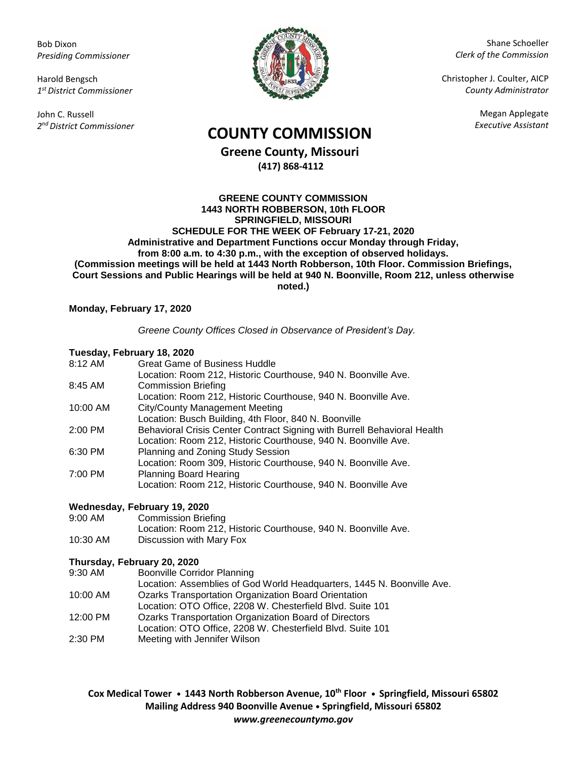Bob Dixon *Presiding Commissioner*

Harold Bengsch *1 st District Commissioner*

John C. Russell *2 nd District Commissioner*



Shane Schoeller *Clerk of the Commission*

Christopher J. Coulter, AICP *County Administrator*

Megan Applegate

# *Executive Assistant* **COUNTY COMMISSION**

**Greene County, Missouri (417) 868-4112**

#### **GREENE COUNTY COMMISSION 1443 NORTH ROBBERSON, 10th FLOOR SPRINGFIELD, MISSOURI SCHEDULE FOR THE WEEK OF February 17-21, 2020 Administrative and Department Functions occur Monday through Friday, from 8:00 a.m. to 4:30 p.m., with the exception of observed holidays. (Commission meetings will be held at 1443 North Robberson, 10th Floor. Commission Briefings, Court Sessions and Public Hearings will be held at 940 N. Boonville, Room 212, unless otherwise noted.)**

## **Monday, February 17, 2020**

## *Greene County Offices Closed in Observance of President's Day.*

### **Tuesday, February 18, 2020**

|          | , accad, , , , co, ag, , , c, ecec                                       |
|----------|--------------------------------------------------------------------------|
| 8:12 AM  | <b>Great Game of Business Huddle</b>                                     |
|          | Location: Room 212, Historic Courthouse, 940 N. Boonville Ave.           |
| 8:45 AM  | <b>Commission Briefing</b>                                               |
|          | Location: Room 212, Historic Courthouse, 940 N. Boonville Ave.           |
| 10:00 AM | <b>City/County Management Meeting</b>                                    |
|          | Location: Busch Building, 4th Floor, 840 N. Boonville                    |
| 2:00 PM  | Behavioral Crisis Center Contract Signing with Burrell Behavioral Health |
|          | Location: Room 212, Historic Courthouse, 940 N. Boonville Ave.           |
| 6:30 PM  | Planning and Zoning Study Session                                        |
|          | Location: Room 309, Historic Courthouse, 940 N. Boonville Ave.           |
| 7:00 PM  | <b>Planning Board Hearing</b>                                            |
|          | Location: Room 212, Historic Courthouse, 940 N. Boonville Ave            |
|          |                                                                          |

## **Wednesday, February 19, 2020**

9:00 AM Commission Briefing

|          | Location: Room 212, Historic Courthouse, 940 N. Boonville Ave. |
|----------|----------------------------------------------------------------|
| 10:30 AM | Discussion with Mary Fox                                       |

## **Thursday, February 20, 2020**

- 9:30 AM Boonville Corridor Planning
- Location: Assemblies of God World Headquarters, 1445 N. Boonville Ave. 10:00 AM Ozarks Transportation Organization Board Orientation
- Location: OTO Office, 2208 W. Chesterfield Blvd. Suite 101
- 12:00 PM Ozarks Transportation Organization Board of Directors
- Location: OTO Office, 2208 W. Chesterfield Blvd. Suite 101
- 2:30 PM Meeting with Jennifer Wilson

**Cox Medical Tower • 1443 North Robberson Avenue, 10th Floor • Springfield, Missouri 65802 Mailing Address 940 Boonville Avenue • Springfield, Missouri 65802** *www.greenecountymo.gov*